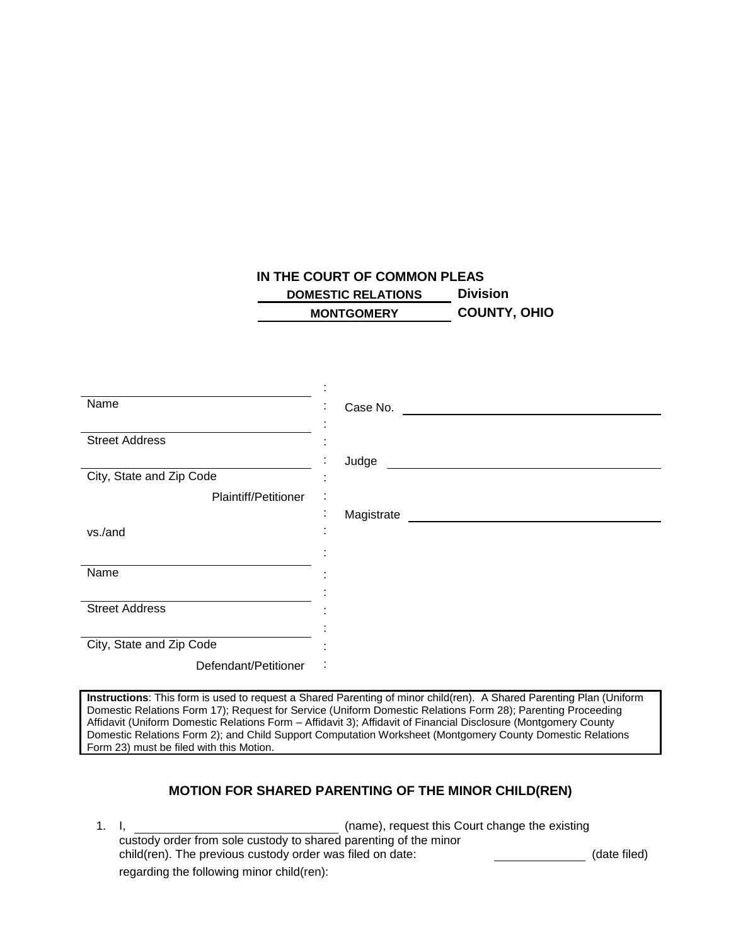## **IN THE COURT OF COMMON PLEAS DOMESTIC RELATIONS Division MONTGOMERY COUNTY, OHIO**

| Name                     | Case No.<br>٠<br>$\mathbf{r}$ |
|--------------------------|-------------------------------|
| <b>Street Address</b>    |                               |
|                          | Judge<br>$\blacksquare$       |
| City, State and Zip Code | ٠                             |
| Plaintiff/Petitioner     | ٠<br>$\blacksquare$           |
|                          | ٠<br>Magistrate<br>٠.         |
| vs./and                  |                               |
|                          |                               |
| Name                     |                               |
|                          |                               |
| <b>Street Address</b>    |                               |
|                          |                               |
| City, State and Zip Code |                               |
| Defendant/Petitioner     | ٠                             |

**Instructions**: This form is used to request a Shared Parenting of minor child(ren). A Shared Parenting Plan (Uniform Domestic Relations Form 17); Request for Service (Uniform Domestic Relations Form 28); Parenting Proceeding Affidavit (Uniform Domestic Relations Form – Affidavit 3); Affidavit of Financial Disclosure (Montgomery County Domestic Relations Form 2); and Child Support Computation Worksheet (Montgomery County Domestic Relations Form 23) must be filed with this Motion.

## **MOTION FOR SHARED PARENTING OF THE MINOR CHILD(REN)**

1. I, (name), request this Court change the existing custody order from sole custody to shared parenting of the minor child(ren). The previous custody order was filed on date: (date filed) regarding the following minor child(ren):